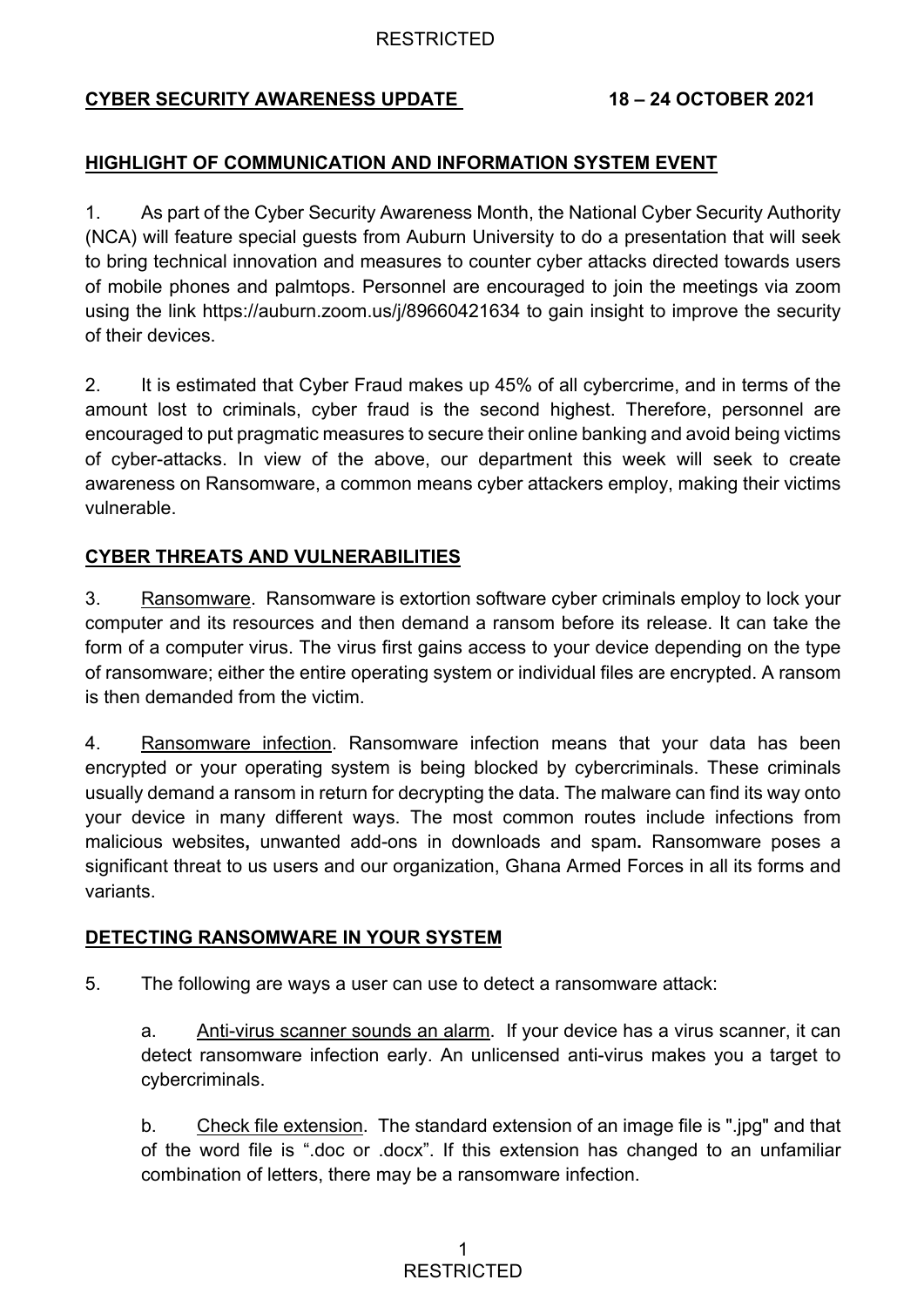### RESTRICTED

# **CYBER SECURITY AWARENESS UPDATE 18 – 24 OCTOBER 2021**

# **HIGHLIGHT OF COMMUNICATION AND INFORMATION SYSTEM EVENT**

1. As part of the Cyber Security Awareness Month, the National Cyber Security Authority (NCA) will feature special guests from Auburn University to do a presentation that will seek to bring technical innovation and measures to counter cyber attacks directed towards users of mobile phones and palmtops. Personnel are encouraged to join the meetings via zoom using the link https://auburn.zoom.us/j/89660421634 to gain insight to improve the security of their devices.

2. It is estimated that Cyber Fraud makes up 45% of all cybercrime, and in terms of the amount lost to criminals, cyber fraud is the second highest. Therefore, personnel are encouraged to put pragmatic measures to secure their online banking and avoid being victims of cyber-attacks. In view of the above, our department this week will seek to create awareness on Ransomware, a common means cyber attackers employ, making their victims vulnerable.

# **CYBER THREATS AND VULNERABILITIES**

3. Ransomware. Ransomware is extortion software cyber criminals employ to lock your computer and its resources and then demand a ransom before its release. It can take the form of a computer virus. The virus first gains access to your device depending on the type of ransomware; either the entire operating system or individual files are encrypted. A ransom is then demanded from the victim.

4. Ransomware infection. Ransomware infection means that your data has been encrypted or your operating system is being blocked by cybercriminals. These criminals usually demand a ransom in return for decrypting the data. The malware can find its way onto your device in many different ways. The most common routes include infections from malicious websites**,** unwanted add-ons in downloads and spam**.** Ransomware poses a significant threat to us users and our organization, Ghana Armed Forces in all its forms and variants.

### **DETECTING RANSOMWARE IN YOUR SYSTEM**

5. The following are ways a user can use to detect a ransomware attack:

a. Anti-virus scanner sounds an alarm. If your device has a virus scanner, it can detect ransomware infection early. An unlicensed anti-virus makes you a target to cybercriminals.

b. Check file extension. The standard extension of an image file is ".jpg" and that of the word file is ".doc or .docx". If this extension has changed to an unfamiliar combination of letters, there may be a ransomware infection.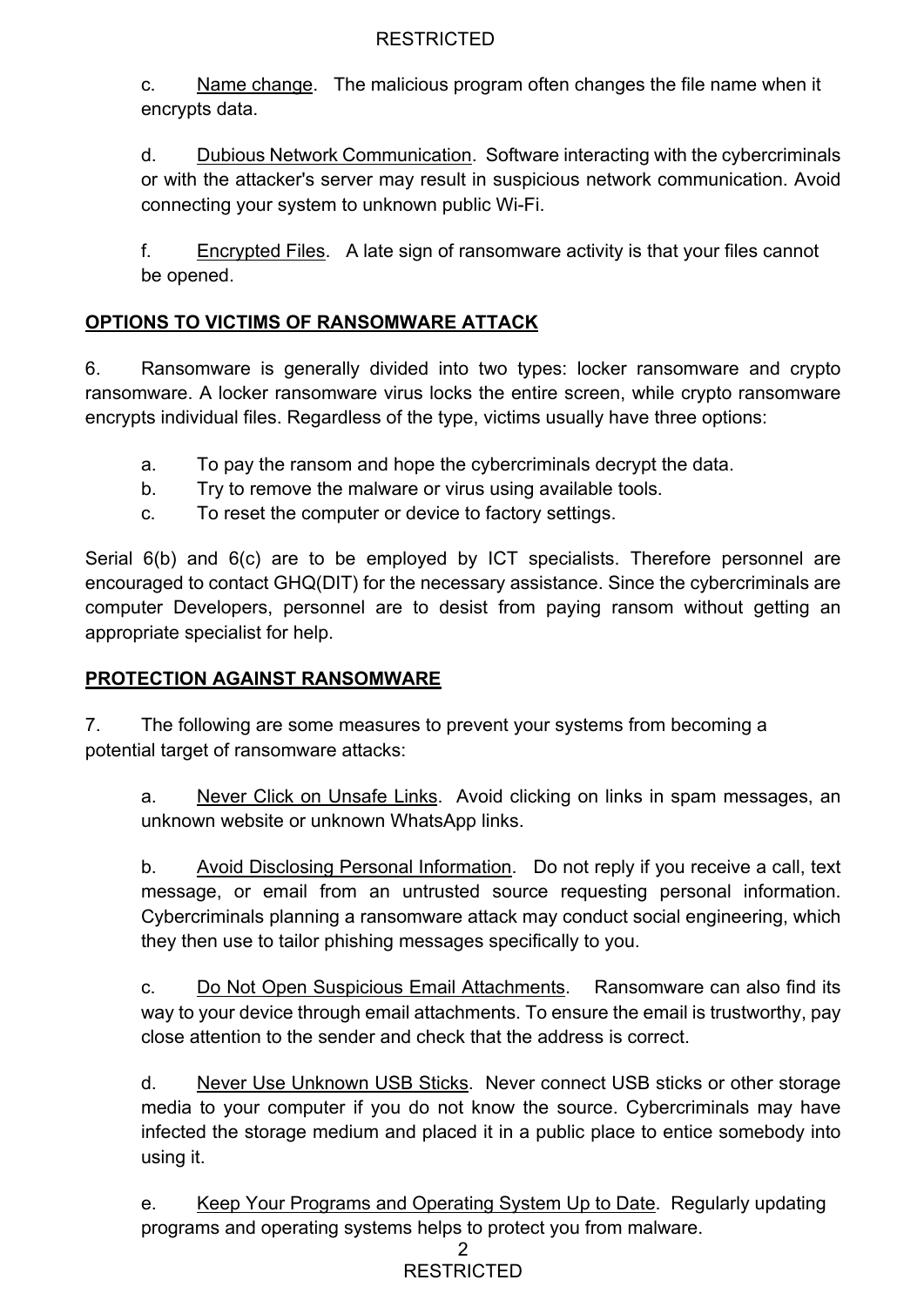# **RESTRICTED**

c. Name change. The malicious program often changes the file name when it encrypts data.

d. Dubious Network Communication. Software interacting with the cybercriminals or with the attacker's server may result in suspicious network communication. Avoid connecting your system to unknown public Wi-Fi.

f. Encrypted Files. A late sign of ransomware activity is that your files cannot be opened.

# **OPTIONS TO VICTIMS OF RANSOMWARE ATTACK**

6. Ransomware is generally divided into two types: locker ransomware and crypto ransomware. A locker ransomware virus locks the entire screen, while crypto ransomware encrypts individual files. Regardless of the type, victims usually have three options:

- a. To pay the ransom and hope the cybercriminals decrypt the data.
- b. Try to remove the malware or virus using available tools.
- c. To reset the computer or device to factory settings.

Serial 6(b) and 6(c) are to be employed by ICT specialists. Therefore personnel are encouraged to contact GHQ(DIT) for the necessary assistance. Since the cybercriminals are computer Developers, personnel are to desist from paying ransom without getting an appropriate specialist for help.

### **PROTECTION AGAINST RANSOMWARE**

7. The following are some measures to prevent your systems from becoming a potential target of ransomware attacks:

a. Never Click on Unsafe Links. Avoid clicking on links in spam messages, an unknown website or unknown WhatsApp links.

b. Avoid Disclosing Personal Information. Do not reply if you receive a call, text message, or email from an untrusted source requesting personal information. Cybercriminals planning a ransomware attack may conduct social engineering, which they then use to tailor phishing messages specifically to you.

c. Do Not Open Suspicious Email Attachments. Ransomware can also find its way to your device through email attachments. To ensure the email is trustworthy, pay close attention to the sender and check that the address is correct.

d. Never Use Unknown USB Sticks. Never connect USB sticks or other storage media to your computer if you do not know the source. Cybercriminals may have infected the storage medium and placed it in a public place to entice somebody into using it.

e. Keep Your Programs and Operating System Up to Date. Regularly updating programs and operating systems helps to protect you from malware.

#### 2 **RESTRICTED**